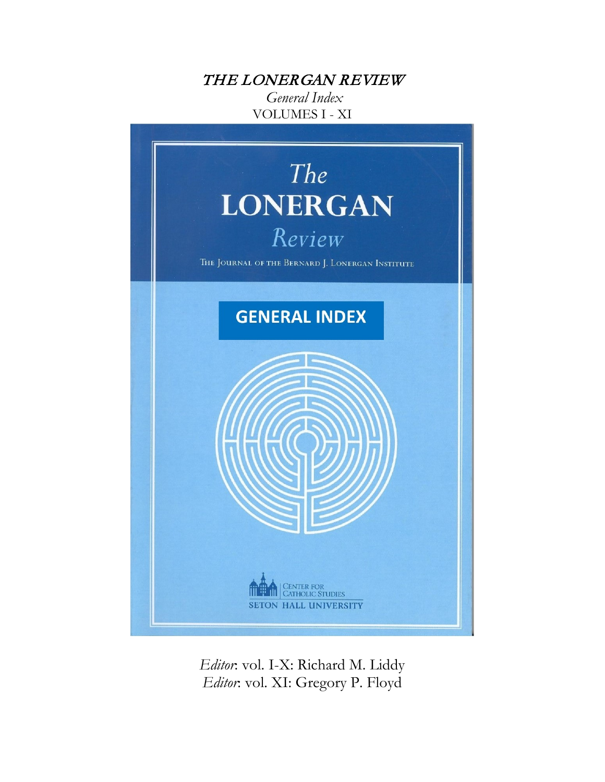### THE LONERGAN REVIEW

*General Index* VOLUMES I - XI



*Editor*: vol. I-X: Richard M. Liddy *Editor*: vol. XI: Gregory P. Floyd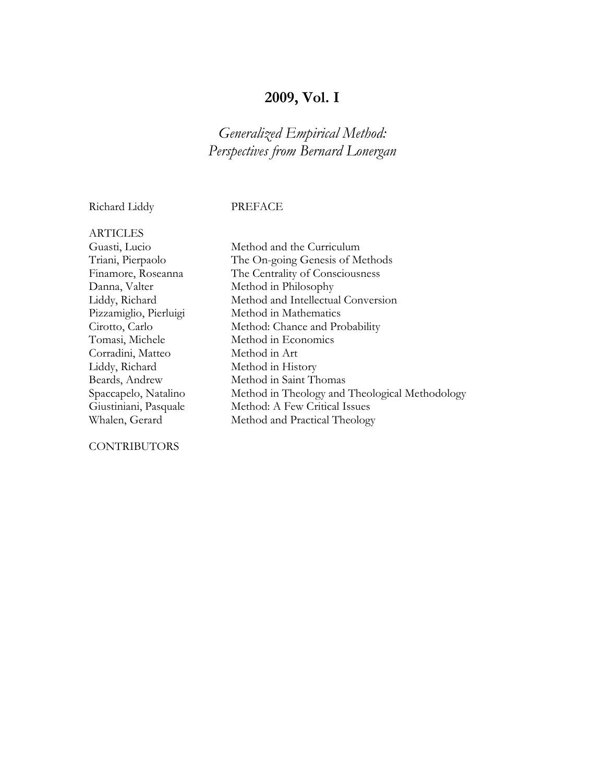### **2009, Vol. I**

### *Generalized Empirical Method: Perspectives from Bernard Lonergan*

Richard Liddy PREFACE

ARTICLES Guasti, Lucio Method and the Curriculum Corradini, Matteo Method in Art Liddy, Richard Method in History

#### CONTRIBUTORS

Triani, Pierpaolo The On-going Genesis of Methods Finamore, Roseanna The Centrality of Consciousness Danna, Valter Method in Philosophy Liddy, Richard Method and Intellectual Conversion Pizzamiglio, Pierluigi Method in Mathematics Cirotto, Carlo Method: Chance and Probability Tomasi, Michele Method in Economics Beards, Andrew Method in Saint Thomas Spaccapelo, Natalino Method in Theology and Theological Methodology Giustiniani, Pasquale Method: A Few Critical Issues Whalen, Gerard Method and Practical Theology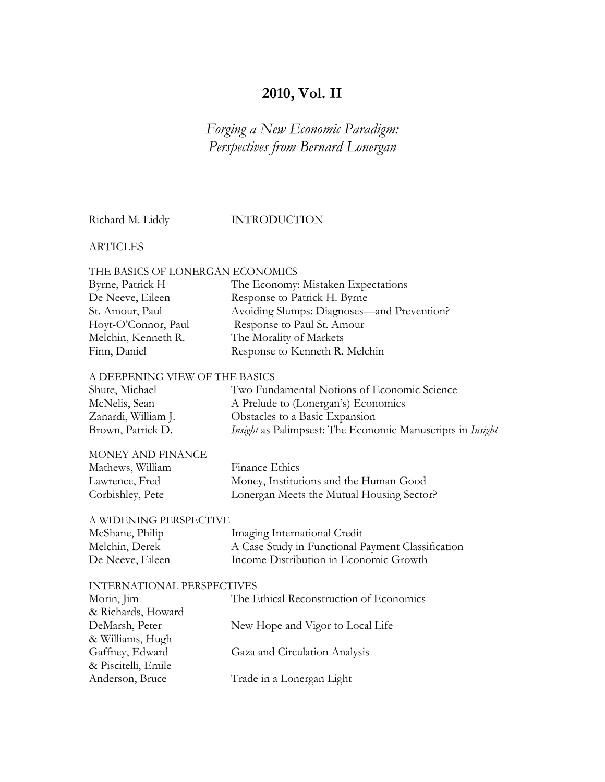### **2010, Vol. II**

*Forging a New Economic Paradigm: Perspectives from Bernard Lonergan*

Richard M. Liddy INTRODUCTION

#### **ARTICLES**

#### THE BASICS OF LONERGAN ECONOMICS

| Byrne, Patrick H    | The Economy: Mistaken Expectations         |  |
|---------------------|--------------------------------------------|--|
| De Neeve, Eileen    | Response to Patrick H. Byrne               |  |
| St. Amour, Paul     | Avoiding Slumps: Diagnoses—and Prevention? |  |
| Hoyt-O'Connor, Paul | Response to Paul St. Amour                 |  |
| Melchin, Kenneth R. | The Morality of Markets                    |  |
| Finn, Daniel        | Response to Kenneth R. Melchin             |  |

#### A DEEPENING VIEW OF THE BASICS

| Shute, Michael      | Two Fundamental Notions of Economic Science                |
|---------------------|------------------------------------------------------------|
| McNelis, Sean       | A Prelude to (Lonergan's) Economics                        |
| Zanardi, William J. | Obstacles to a Basic Expansion                             |
| Brown, Patrick D.   | Insight as Palimpsest: The Economic Manuscripts in Insight |

| MONEY AND FINANCE |                                           |
|-------------------|-------------------------------------------|
| Mathews, William  | Finance Ethics                            |
| Lawrence, Fred    | Money, Institutions and the Human Good    |
| Corbishley, Pete  | Lonergan Meets the Mutual Housing Sector? |

#### A WIDENING PERSPECTIVE

| McShane, Philip  | Imaging International Credit                      |
|------------------|---------------------------------------------------|
| Melchin, Derek   | A Case Study in Functional Payment Classification |
| De Neeve, Eileen | Income Distribution in Economic Growth            |

#### INTERNATIONAL PERSPECTIVES

| Morin, Jim          | The Ethical Reconstruction of Economics |
|---------------------|-----------------------------------------|
| & Richards, Howard  |                                         |
| DeMarsh, Peter      | New Hope and Vigor to Local Life        |
| & Williams, Hugh    |                                         |
| Gaffney, Edward     | Gaza and Circulation Analysis           |
| & Piscitelli, Emile |                                         |
| Anderson, Bruce     | Trade in a Lonergan Light               |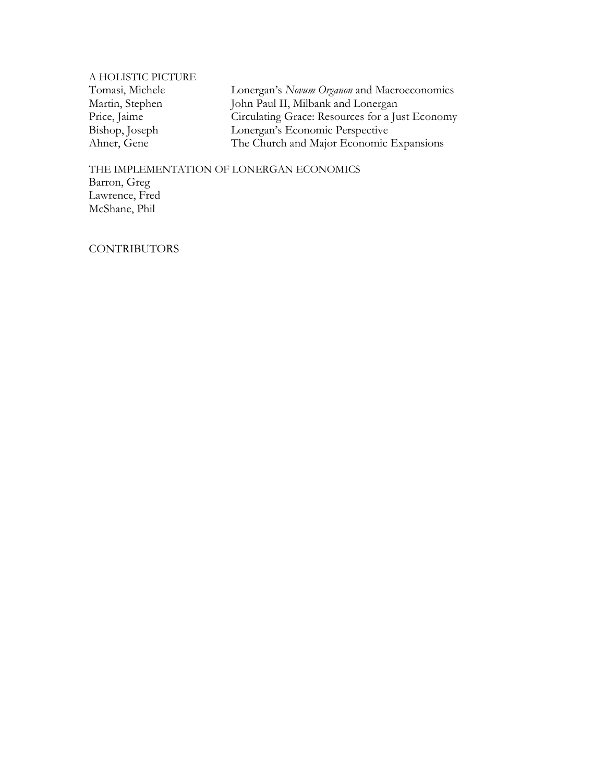A HOLISTIC PICTURE

Tomasi, Michele Lonergan's *Novum Organon* and Macroeconomics<br>Martin, Stephen John Paul II, Milbank and Lonergan Martin, Stephen John Paul II, Milbank and Lonergan<br>Price, Jaime Circulating Grace: Resources for a Ju Price, Jaime<br>
Circulating Grace: Resources for a Just Economy<br>
Bishop, Joseph<br>
Lonergan's Economic Perspective Bishop, Joseph Lonergan's Economic Perspective<br>Ahner, Gene The Church and Major Economic The Church and Major Economic Expansions

THE IMPLEMENTATION OF LONERGAN ECONOMICS Barron, Greg Lawrence, Fred McShane, Phil

**CONTRIBUTORS**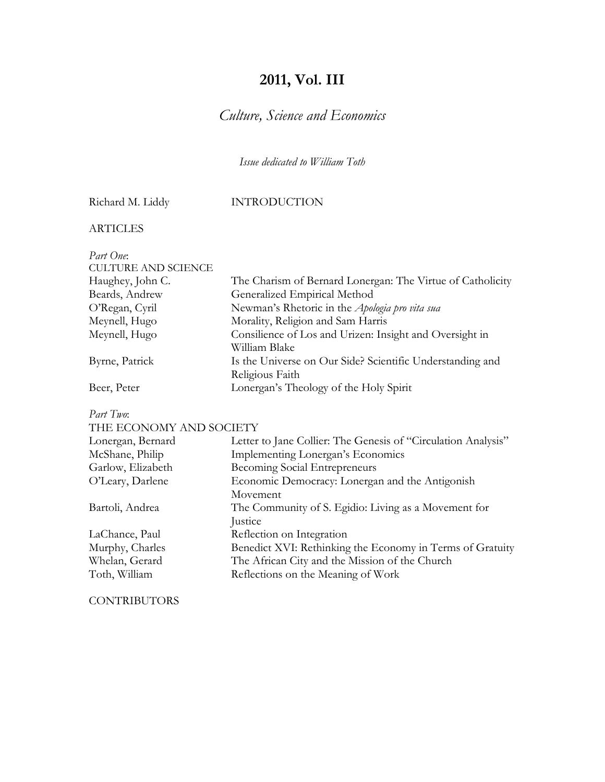### **2011, Vol. III**

### *Culture, Science and Economics*

*Issue dedicated to William Toth*

### Richard M. Liddy INTRODUCTION

ARTICLES

| Part One:                  |                                                                              |
|----------------------------|------------------------------------------------------------------------------|
| <b>CULTURE AND SCIENCE</b> |                                                                              |
| Haughey, John C.           | The Charism of Bernard Lonergan: The Virtue of Catholicity                   |
| Beards, Andrew             | Generalized Empirical Method                                                 |
| O'Regan, Cyril             | Newman's Rhetoric in the Apologia pro vita sua                               |
| Meynell, Hugo              | Morality, Religion and Sam Harris                                            |
| Meynell, Hugo              | Consilience of Los and Urizen: Insight and Oversight in<br>William Blake     |
| Byrne, Patrick             | Is the Universe on Our Side? Scientific Understanding and<br>Religious Faith |
| Beer, Peter                | Lonergan's Theology of the Holy Spirit                                       |
| Part Two:                  |                                                                              |
| THE ECONOMY AND SOCIETY    |                                                                              |
| Lonergan, Bernard          | Letter to Jane Collier: The Genesis of "Circulation Analysis"                |
| McShane, Philip            | Implementing Lonergan's Economics                                            |
| Garlow, Elizabeth          | Becoming Social Entrepreneurs                                                |
| O'Leary, Darlene           | Economic Democracy: Lonergan and the Antigonish                              |
|                            | Movement                                                                     |
| Bartoli, Andrea            | The Community of S. Egidio: Living as a Movement for                         |
|                            | Justice                                                                      |
| LaChance, Paul             | Reflection on Integration                                                    |
| Murphy, Charles            | Benedict XVI: Rethinking the Economy in Terms of Gratuity                    |
| Whelan, Gerard             | The African City and the Mission of the Church                               |
| Toth, William              | Reflections on the Meaning of Work                                           |

**CONTRIBUTORS**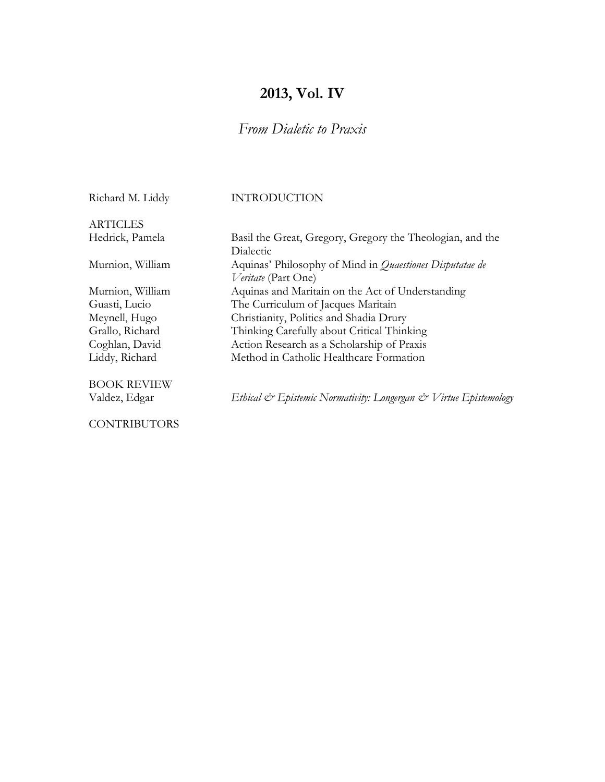### **2013, Vol. IV**

### *From Dialetic to Praxis*

Richard M. Liddy INTRODUCTION

**ARTICLES** 

BOOK REVIEW

**CONTRIBUTORS** 

Hedrick, Pamela Basil the Great, Gregory, Gregory the Theologian, and the Dialectic Murnion, William Aquinas' Philosophy of Mind in *Quaestiones Disputatae de Veritate* (Part One) Murnion, William Aquinas and Maritain on the Act of Understanding Guasti, Lucio The Curriculum of Jacques Maritain Meynell, Hugo Christianity, Politics and Shadia Drury Grallo, Richard Thinking Carefully about Critical Thinking Coghlan, David Action Research as a Scholarship of Praxis Liddy, Richard Method in Catholic Healthcare Formation

Valdez, Edgar *Ethical & Epistemic Normativity: Longergan & Virtue Epistemology*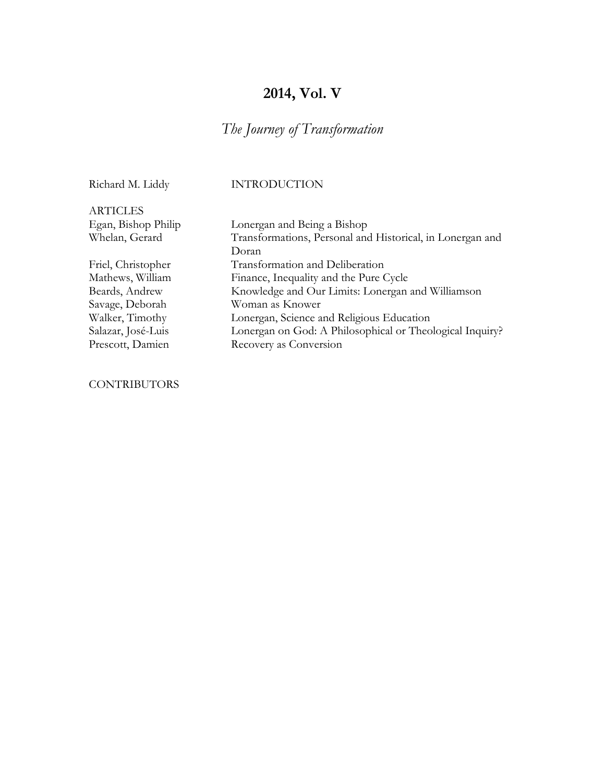### **2014, Vol. V**

### *The Journey of Transformation*

#### Richard M. Liddy INTRODUCTION

ARTICLES Egan, Bishop Philip Lonergan and Being a Bishop Whelan, Gerard Transformations, Personal and Historical, in Lonergan and Doran Friel, Christopher Transformation and Deliberation Mathews, William Finance, Inequality and the Pure Cycle Beards, Andrew Knowledge and Our Limits: Lonergan and Williamson Savage, Deborah Woman as Knower Walker, Timothy Lonergan, Science and Religious Education Salazar, José-Luis Lonergan on God: A Philosophical or Theological Inquiry? Prescott, Damien Recovery as Conversion

#### **CONTRIBUTORS**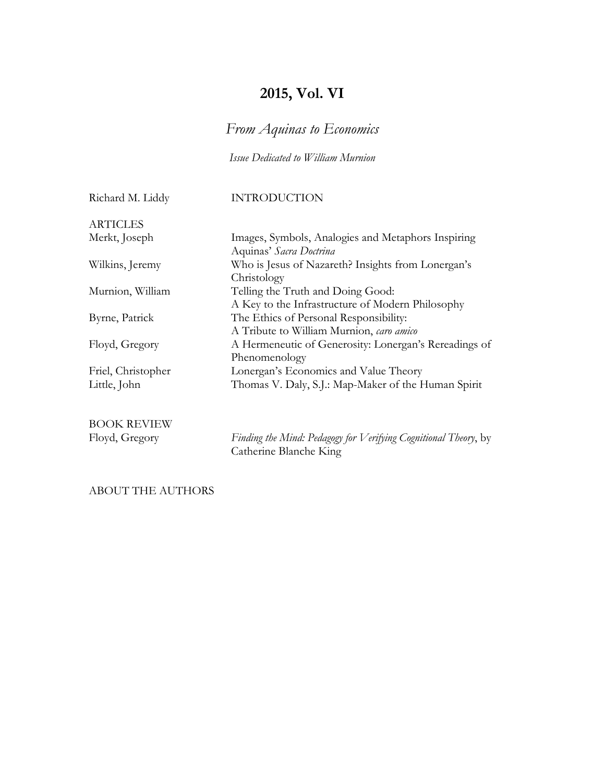### **2015, Vol. VI**

*From Aquinas to Economics*

*Issue Dedicated to William Murnion*

Richard M. Liddy INTRODUCTION

| Images, Symbols, Analogies and Metaphors Inspiring<br>Aquinas' Sacra Doctrina              |
|--------------------------------------------------------------------------------------------|
| Who is Jesus of Nazareth? Insights from Lonergan's<br>Christology                          |
| Telling the Truth and Doing Good:                                                          |
| A Key to the Infrastructure of Modern Philosophy<br>The Ethics of Personal Responsibility: |
| A Tribute to William Murnion, caro amico                                                   |
| A Hermeneutic of Generosity: Lonergan's Rereadings of                                      |
| Phenomenology<br>Lonergan's Economics and Value Theory                                     |
| Thomas V. Daly, S.J.: Map-Maker of the Human Spirit                                        |
|                                                                                            |

BOOK REVIEW<br>Floyd, Gregory

Finding the Mind: Pedagogy for Verifying Cognitional Theory, by Catherine Blanche King

ABOUT THE AUTHORS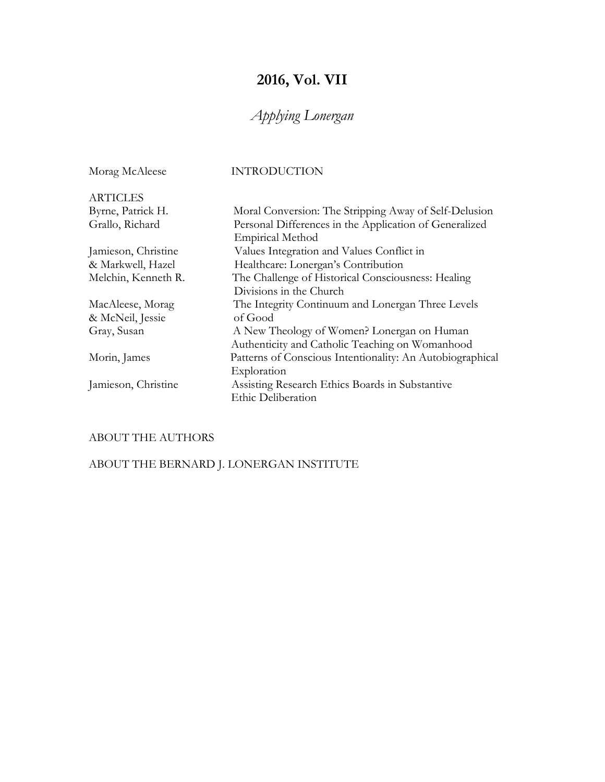## **2016, Vol. VII**

## *Applying Lonergan*

| Morag McAleese      | <b>INTRODUCTION</b>                                       |
|---------------------|-----------------------------------------------------------|
| <b>ARTICLES</b>     |                                                           |
| Byrne, Patrick H.   | Moral Conversion: The Stripping Away of Self-Delusion     |
| Grallo, Richard     | Personal Differences in the Application of Generalized    |
|                     | <b>Empirical Method</b>                                   |
| Jamieson, Christine | Values Integration and Values Conflict in                 |
| & Markwell, Hazel   | Healthcare: Lonergan's Contribution                       |
| Melchin, Kenneth R. | The Challenge of Historical Consciousness: Healing        |
|                     | Divisions in the Church                                   |
| MacAleese, Morag    | The Integrity Continuum and Lonergan Three Levels         |
| & McNeil, Jessie    | of Good                                                   |
| Gray, Susan         | A New Theology of Women? Lonergan on Human                |
|                     | Authenticity and Catholic Teaching on Womanhood           |
| Morin, James        | Patterns of Conscious Intentionality: An Autobiographical |
|                     | Exploration                                               |
| Jamieson, Christine | Assisting Research Ethics Boards in Substantive           |
|                     | Ethic Deliberation                                        |

### ABOUT THE AUTHORS

ABOUT THE BERNARD J. LONERGAN INSTITUTE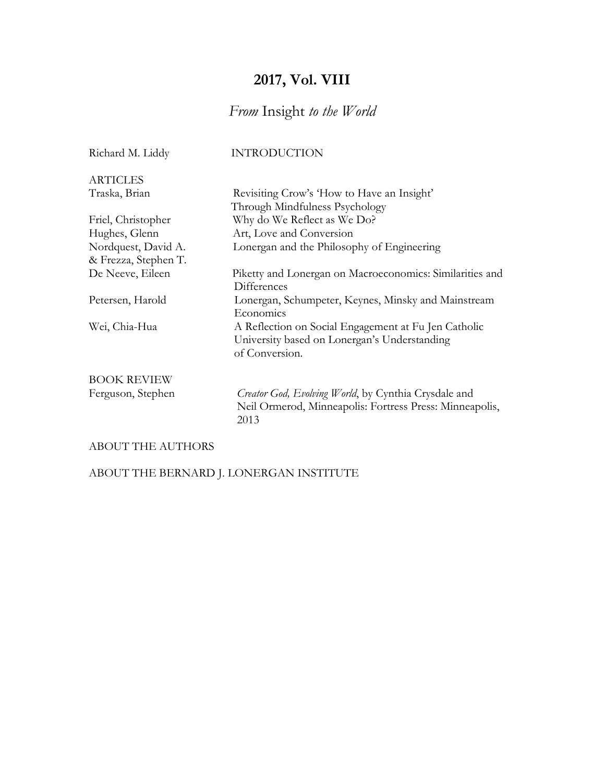### **2017, Vol. VIII**

### *From* Insight *to the World*

| Richard M. Liddy     | <b>INTRODUCTION</b>                                      |
|----------------------|----------------------------------------------------------|
| <b>ARTICLES</b>      |                                                          |
| Traska, Brian        | Revisiting Crow's 'How to Have an Insight'               |
|                      | Through Mindfulness Psychology                           |
| Friel, Christopher   | Why do We Reflect as We Do?                              |
| Hughes, Glenn        | Art, Love and Conversion                                 |
| Nordquest, David A.  | Lonergan and the Philosophy of Engineering               |
| & Frezza, Stephen T. |                                                          |
| De Neeve, Eileen     | Piketty and Lonergan on Macroeconomics: Similarities and |
|                      | Differences                                              |
| Petersen, Harold     | Lonergan, Schumpeter, Keynes, Minsky and Mainstream      |
|                      | Economics                                                |
| Wei, Chia-Hua        | A Reflection on Social Engagement at Fu Jen Catholic     |
|                      | University based on Lonergan's Understanding             |
|                      | of Conversion.                                           |
| <b>BOOK REVIEW</b>   |                                                          |
| Ferguson, Stephen    | Creator God, Evolving World, by Cynthia Crysdale and     |
|                      | Neil Ormerod, Minneapolis: Fortress Press: Minneapolis,  |
|                      | 2013                                                     |
|                      |                                                          |
|                      |                                                          |

### ABOUT THE AUTHORS

ABOUT THE BERNARD J. LONERGAN INSTITUTE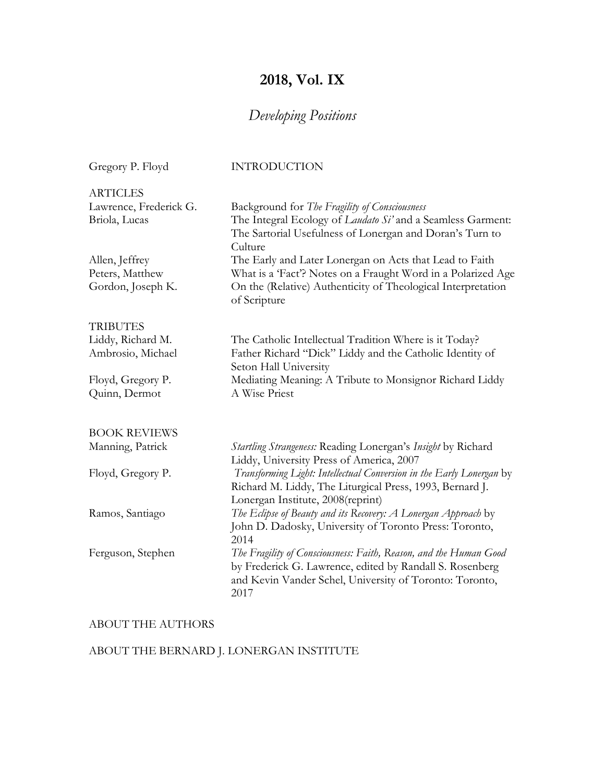## **2018, Vol. IX**

## *Developing Positions*

| Gregory P. Floyd                        | <b>INTRODUCTION</b>                                                                                                                                                                              |
|-----------------------------------------|--------------------------------------------------------------------------------------------------------------------------------------------------------------------------------------------------|
| <b>ARTICLES</b>                         |                                                                                                                                                                                                  |
| Lawrence, Frederick G.<br>Briola, Lucas | Background for The Fragility of Consciousness<br>The Integral Ecology of Laudato Si' and a Seamless Garment:<br>The Sartorial Usefulness of Lonergan and Doran's Turn to<br>Culture              |
| Allen, Jeffrey                          | The Early and Later Lonergan on Acts that Lead to Faith                                                                                                                                          |
| Peters, Matthew                         | What is a 'Fact'? Notes on a Fraught Word in a Polarized Age                                                                                                                                     |
| Gordon, Joseph K.                       | On the (Relative) Authenticity of Theological Interpretation<br>of Scripture                                                                                                                     |
| <b>TRIBUTES</b>                         |                                                                                                                                                                                                  |
| Liddy, Richard M.                       | The Catholic Intellectual Tradition Where is it Today?                                                                                                                                           |
| Ambrosio, Michael                       | Father Richard "Dick" Liddy and the Catholic Identity of<br>Seton Hall University                                                                                                                |
| Floyd, Gregory P.                       | Mediating Meaning: A Tribute to Monsignor Richard Liddy                                                                                                                                          |
| Quinn, Dermot                           | A Wise Priest                                                                                                                                                                                    |
| <b>BOOK REVIEWS</b>                     |                                                                                                                                                                                                  |
| Manning, Patrick                        | Startling Strangeness: Reading Lonergan's Insight by Richard<br>Liddy, University Press of America, 2007                                                                                         |
| Floyd, Gregory P.                       | Transforming Light: Intellectual Conversion in the Early Lonergan by<br>Richard M. Liddy, The Liturgical Press, 1993, Bernard J.<br>Lonergan Institute, 2008(reprint)                            |
| Ramos, Santiago                         | The Eclipse of Beauty and its Recovery: A Lonergan Approach by<br>John D. Dadosky, University of Toronto Press: Toronto,<br>2014                                                                 |
| Ferguson, Stephen                       | The Fragility of Consciousness: Faith, Reason, and the Human Good<br>by Frederick G. Lawrence, edited by Randall S. Rosenberg<br>and Kevin Vander Schel, University of Toronto: Toronto,<br>2017 |

### ABOUT THE AUTHORS

### ABOUT THE BERNARD J. LONERGAN INSTITUTE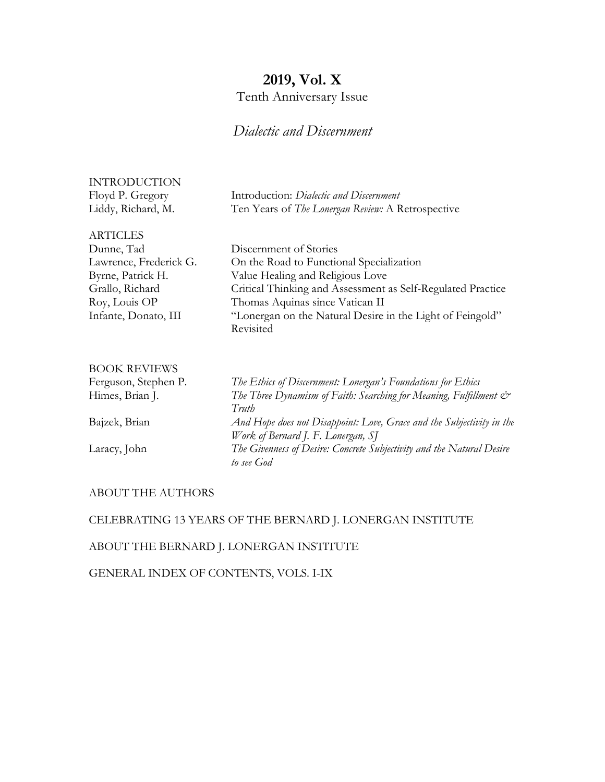### **2019, Vol. X**

### Tenth Anniversary Issue

### *Dialectic and Discernment*

| INTRODUCTION       |                                                   |
|--------------------|---------------------------------------------------|
| Floyd P. Gregory   | Introduction: Dialectic and Discernment           |
| Liddy, Richard, M. | Ten Years of The Lonergan Review: A Retrospective |

| <b>ARTICLES</b> |  |
|-----------------|--|
|                 |  |

| Dunne, Tad             | Dis           |
|------------------------|---------------|
| Lawrence, Frederick G. | On            |
| Byrne, Patrick H.      | Val           |
| Grallo, Richard        | Crit          |
| Roy, Louis OP          | The           |
| Infante, Donato, III   | $\mathcal{C}$ |

cernment of Stories the Road to Functional Specialization ue Healing and Religious Love tical Thinking and Assessment as Self-Regulated Practice omas Aquinas since Vatican II Infanter on the Natural Desire in the Light of Feingold" Revisited

# BOOK REVIEWS

Ferguson, Stephen P. *The Ethics of Discernment: Lonergan's Foundations for Ethics* Himes, Brian J. *The Three Dynamism of Faith: Searching for Meaning, Fulfillment & Truth* Bajzek, Brian *And Hope does not Disappoint: Love, Grace and the Subjectivity in the Work of Bernard J. F. Lonergan, SJ* Laracy, John *The Givenness of Desire: Concrete Subjectivity and the Natural Desire to see God*

#### ABOUT THE AUTHORS

#### CELEBRATING 13 YEARS OF THE BERNARD J. LONERGAN INSTITUTE

### ABOUT THE BERNARD J. LONERGAN INSTITUTE

GENERAL INDEX OF CONTENTS, VOLS. I-IX